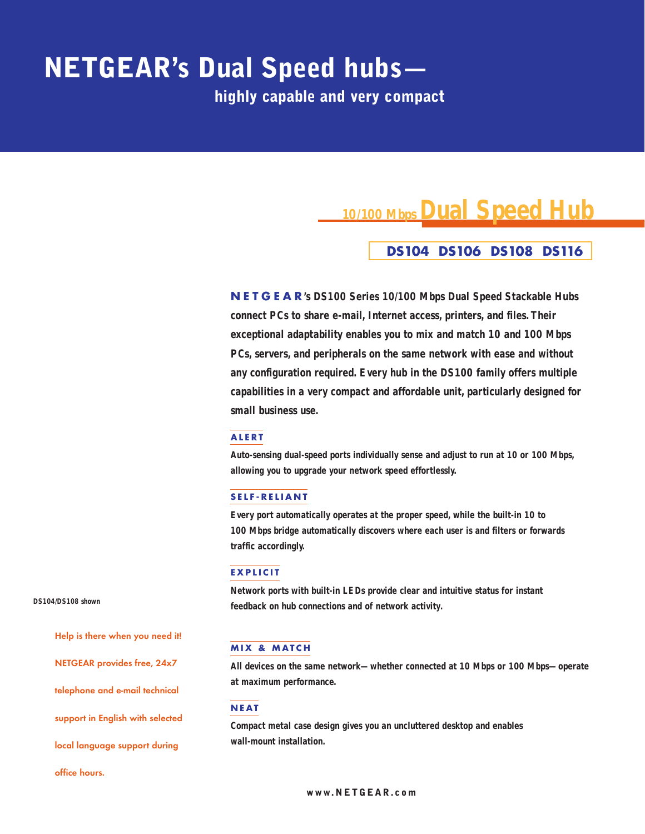# **NETGEAR's Dual Speed hubs—**

**highly capable and very compact**

## **10/100 Mbps Dual Speed Hub**

### **DS104 DS106 DS108 DS116**

**NETGEAR's DS100 Series 10/100 Mbps Dual Speed Stackable Hubs connect PCs to share e-mail, Internet access, printers, and files. Their exceptional adaptability enables you to mix and match 10 and 100 Mbps PCs, servers, and peripherals on the same network with ease and without any configuration required. Every hub in the DS100 family offers multiple capabilities in a very compact and affordable unit, particularly designed for small business use.**

#### **ALERT**

**Auto-sensing dual-speed ports individually sense and adjust to run at 10 or 100 Mbps, allowing you to upgrade your network speed effortlessly.**

#### **SELF-RELIANT**

**Every port automatically operates at the proper speed, while the built-in 10 to 100 Mbps bridge automatically discovers where each user is and filters or forwards traffic accordingly.**

#### **EXPLICIT**

**Network ports with built-in LEDs provide clear and intuitive status for instant feedback on hub connections and of network activity.**

#### **MIX & MATCH**

**All devices on the same network—whether connected at 10 Mbps or 100 Mbps—operate at maximum performance.**

#### **NEAT**

**Compact metal case design gives you an uncluttered desktop and enables wall-mount installation.**

**DS104/DS108 shown**

**Help is there when you need it! NETGEAR provides free, 24x7 telephone and e-mail technical support in English with selected**

**local language support during**

#### **office hours.**